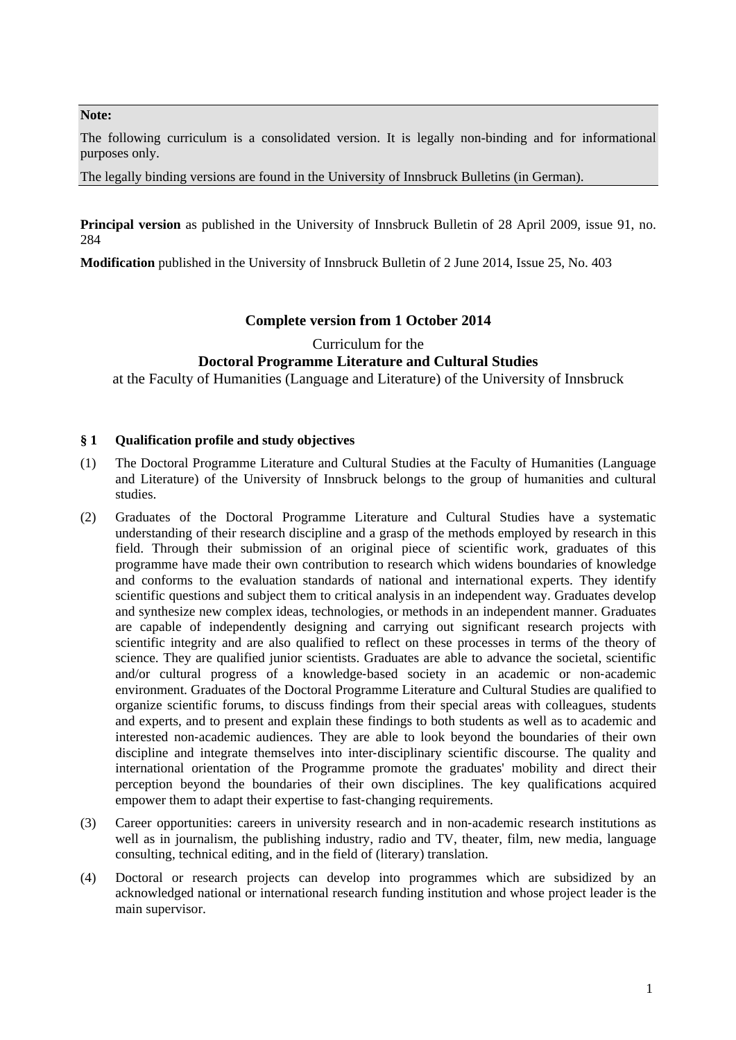#### **Note:**

The following curriculum is a consolidated version. It is legally non-binding and for informational purposes only.

The legally binding versions are found in the University of Innsbruck Bulletins (in German).

**Principal version** as published in the University of Innsbruck Bulletin of 28 April 2009, issue 91, no. 284

**Modification** published in the University of Innsbruck Bulletin of 2 June 2014, Issue 25, No. 403

# **Complete version from 1 October 2014**

Curriculum for the

# **Doctoral Programme Literature and Cultural Studies**

at the Faculty of Humanities (Language and Literature) of the University of Innsbruck

## **§ 1 Qualification profile and study objectives**

- (1) The Doctoral Programme Literature and Cultural Studies at the Faculty of Humanities (Language and Literature) of the University of Innsbruck belongs to the group of humanities and cultural studies.
- (2) Graduates of the Doctoral Programme Literature and Cultural Studies have a systematic understanding of their research discipline and a grasp of the methods employed by research in this field. Through their submission of an original piece of scientific work, graduates of this programme have made their own contribution to research which widens boundaries of knowledge and conforms to the evaluation standards of national and international experts. They identify scientific questions and subject them to critical analysis in an independent way. Graduates develop and synthesize new complex ideas, technologies, or methods in an independent manner. Graduates are capable of independently designing and carrying out significant research projects with scientific integrity and are also qualified to reflect on these processes in terms of the theory of science. They are qualified junior scientists. Graduates are able to advance the societal, scientific and/or cultural progress of a knowledge‐based society in an academic or non‐academic environment. Graduates of the Doctoral Programme Literature and Cultural Studies are qualified to organize scientific forums, to discuss findings from their special areas with colleagues, students and experts, and to present and explain these findings to both students as well as to academic and interested non‐academic audiences. They are able to look beyond the boundaries of their own discipline and integrate themselves into inter‐disciplinary scientific discourse. The quality and international orientation of the Programme promote the graduates' mobility and direct their perception beyond the boundaries of their own disciplines. The key qualifications acquired empower them to adapt their expertise to fast-changing requirements.
- (3) Career opportunities: careers in university research and in non‐academic research institutions as well as in journalism, the publishing industry, radio and TV, theater, film, new media, language consulting, technical editing, and in the field of (literary) translation.
- (4) Doctoral or research projects can develop into programmes which are subsidized by an acknowledged national or international research funding institution and whose project leader is the main supervisor.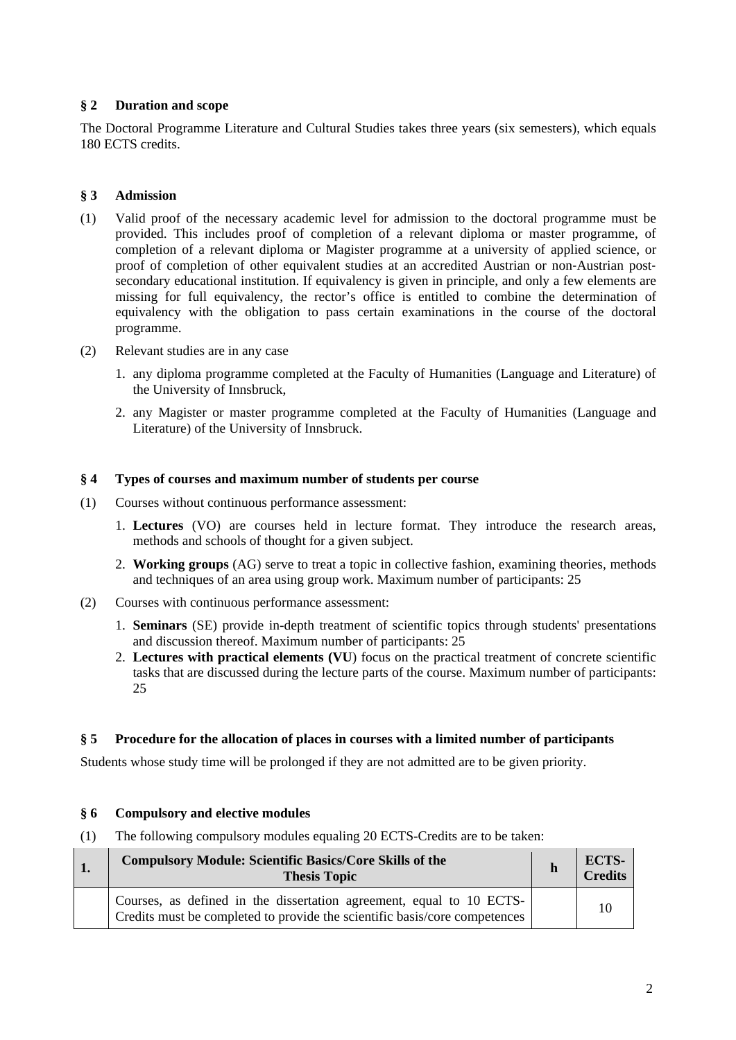## **§ 2 Duration and scope**

The Doctoral Programme Literature and Cultural Studies takes three years (six semesters), which equals 180 ECTS credits.

#### **§ 3 Admission**

- (1) Valid proof of the necessary academic level for admission to the doctoral programme must be provided. This includes proof of completion of a relevant diploma or master programme, of completion of a relevant diploma or Magister programme at a university of applied science, or proof of completion of other equivalent studies at an accredited Austrian or non-Austrian postsecondary educational institution. If equivalency is given in principle, and only a few elements are missing for full equivalency, the rector's office is entitled to combine the determination of equivalency with the obligation to pass certain examinations in the course of the doctoral programme.
- (2) Relevant studies are in any case
	- 1. any diploma programme completed at the Faculty of Humanities (Language and Literature) of the University of Innsbruck,
	- 2. any Magister or master programme completed at the Faculty of Humanities (Language and Literature) of the University of Innsbruck.

#### **§ 4 Types of courses and maximum number of students per course**

- (1) Courses without continuous performance assessment:
	- 1. **Lectures** (VO) are courses held in lecture format. They introduce the research areas, methods and schools of thought for a given subject.
	- 2. **Working groups** (AG) serve to treat a topic in collective fashion, examining theories, methods and techniques of an area using group work. Maximum number of participants: 25
- (2) Courses with continuous performance assessment:
	- 1. **Seminars** (SE) provide in-depth treatment of scientific topics through students' presentations and discussion thereof. Maximum number of participants: 25
	- 2. **Lectures with practical elements (VU**) focus on the practical treatment of concrete scientific tasks that are discussed during the lecture parts of the course. Maximum number of participants: 25

#### **§ 5 Procedure for the allocation of places in courses with a limited number of participants**

Students whose study time will be prolonged if they are not admitted are to be given priority.

#### **§ 6 Compulsory and elective modules**

(1) The following compulsory modules equaling 20 ECTS-Credits are to be taken:

| <b>Compulsory Module: Scientific Basics/Core Skills of the</b><br><b>Thesis Topic</b>                                                              | h | <b>ECTS-</b><br>Credits |
|----------------------------------------------------------------------------------------------------------------------------------------------------|---|-------------------------|
| Courses, as defined in the dissertation agreement, equal to 10 ECTS-<br>Credits must be completed to provide the scientific basis/core competences |   | 10                      |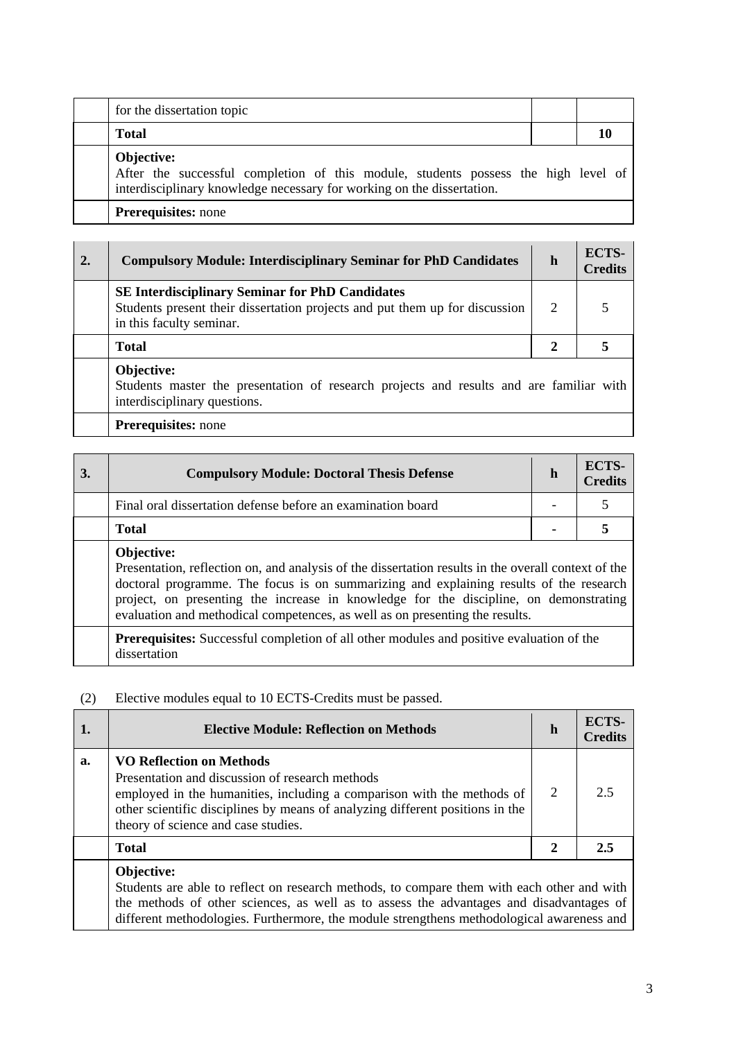| for the dissertation topic                                                                                                                                                 |  |
|----------------------------------------------------------------------------------------------------------------------------------------------------------------------------|--|
| <b>Total</b>                                                                                                                                                               |  |
| Objective:<br>After the successful completion of this module, students possess the high level of<br>interdisciplinary knowledge necessary for working on the dissertation. |  |
| <b>Prerequisites:</b> none                                                                                                                                                 |  |

| 2. | <b>Compulsory Module: Interdisciplinary Seminar for PhD Candidates</b>                                                                                            | $\mathbf h$  | <b>ECTS-</b><br><b>Credits</b> |
|----|-------------------------------------------------------------------------------------------------------------------------------------------------------------------|--------------|--------------------------------|
|    | <b>SE Interdisciplinary Seminar for PhD Candidates</b><br>Students present their dissertation projects and put them up for discussion<br>in this faculty seminar. | 2            |                                |
|    | <b>Total</b>                                                                                                                                                      | $\mathbf{2}$ |                                |
|    | Objective:<br>Students master the presentation of research projects and results and are familiar with<br>interdisciplinary questions.                             |              |                                |
|    | <b>Prerequisites:</b> none                                                                                                                                        |              |                                |

| 3. | <b>Compulsory Module: Doctoral Thesis Defense</b>                                                                                                                                                                                                                                                                                                                                    | $\mathbf h$ | ECTS-<br><b>Credits</b> |
|----|--------------------------------------------------------------------------------------------------------------------------------------------------------------------------------------------------------------------------------------------------------------------------------------------------------------------------------------------------------------------------------------|-------------|-------------------------|
|    | Final oral dissertation defense before an examination board                                                                                                                                                                                                                                                                                                                          |             |                         |
|    | <b>Total</b>                                                                                                                                                                                                                                                                                                                                                                         |             |                         |
|    | Objective:<br>Presentation, reflection on, and analysis of the dissertation results in the overall context of the<br>doctoral programme. The focus is on summarizing and explaining results of the research<br>project, on presenting the increase in knowledge for the discipline, on demonstrating<br>evaluation and methodical competences, as well as on presenting the results. |             |                         |
|    | <b>Prerequisites:</b> Successful completion of all other modules and positive evaluation of the<br>dissertation                                                                                                                                                                                                                                                                      |             |                         |

# (2) Elective modules equal to 10 ECTS-Credits must be passed.

|    | <b>Elective Module: Reflection on Methods</b>                                                                                                                                                                                                                                        | $\mathbf h$ | ECTS-<br><b>Credits</b> |
|----|--------------------------------------------------------------------------------------------------------------------------------------------------------------------------------------------------------------------------------------------------------------------------------------|-------------|-------------------------|
| a. | <b>VO Reflection on Methods</b><br>Presentation and discussion of research methods<br>employed in the humanities, including a comparison with the methods of<br>other scientific disciplines by means of analyzing different positions in the<br>theory of science and case studies. | 2           | 2.5                     |
|    | <b>Total</b>                                                                                                                                                                                                                                                                         | 2           | 2.5                     |
|    | Objective:<br>Students are able to reflect on research methods, to compare them with each other and with                                                                                                                                                                             |             |                         |

Students are able to reflect on research methods, to compare them with each other and with the methods of other sciences, as well as to assess the advantages and disadvantages of different methodologies. Furthermore, the module strengthens methodological awareness and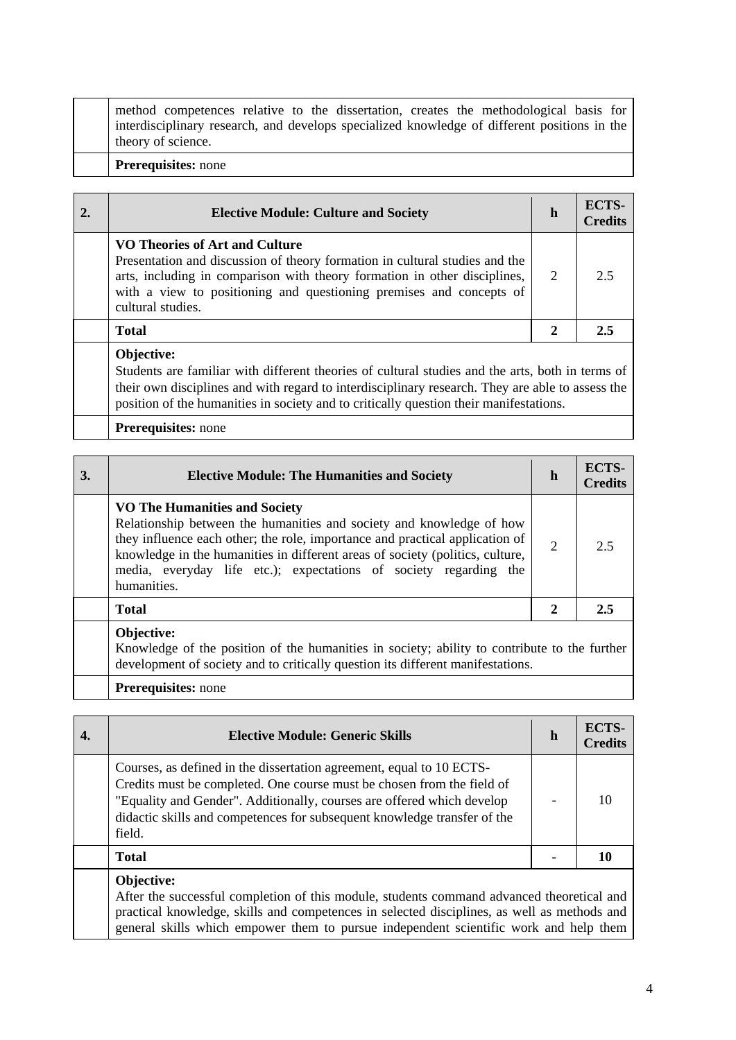method competences relative to the dissertation, creates the methodological basis for interdisciplinary research, and develops specialized knowledge of different positions in the theory of science.

#### **Prerequisites:** none

| <b>Elective Module: Culture and Society</b>                                                                                                                                                                                                                                            | h | ECTS-<br><b>Credits</b> |
|----------------------------------------------------------------------------------------------------------------------------------------------------------------------------------------------------------------------------------------------------------------------------------------|---|-------------------------|
| VO Theories of Art and Culture<br>Presentation and discussion of theory formation in cultural studies and the<br>arts, including in comparison with theory formation in other disciplines,<br>with a view to positioning and questioning premises and concepts of<br>cultural studies. | 2 | 2.5                     |
| <b>Total</b>                                                                                                                                                                                                                                                                           | 2 | 2.5                     |
| <b>Objective:</b>                                                                                                                                                                                                                                                                      |   |                         |

Students are familiar with different theories of cultural studies and the arts, both in terms of their own disciplines and with regard to interdisciplinary research. They are able to assess the position of the humanities in society and to critically question their manifestations.

#### **Prerequisites:** none

| 3. | <b>Elective Module: The Humanities and Society</b>                                                                                                                                                                                                                                                                                                                | h              | ECTS-<br><b>Credits</b> |
|----|-------------------------------------------------------------------------------------------------------------------------------------------------------------------------------------------------------------------------------------------------------------------------------------------------------------------------------------------------------------------|----------------|-------------------------|
|    | <b>VO The Humanities and Society</b><br>Relationship between the humanities and society and knowledge of how<br>they influence each other; the role, importance and practical application of<br>knowledge in the humanities in different areas of society (politics, culture,<br>media, everyday life etc.); expectations of society regarding the<br>humanities. | $\overline{2}$ | 2.5                     |
|    | <b>Total</b>                                                                                                                                                                                                                                                                                                                                                      | 2              | 2.5                     |
|    | Objective:<br>Knowledge of the position of the humanities in society; ability to contribute to the further<br>development of society and to critically question its different manifestations.                                                                                                                                                                     |                |                         |

**Prerequisites:** none

|                                                                                                                                                                                                               | <b>Elective Module: Generic Skills</b>                                                                                                                                                                                                                                                                         | h | ECTS-<br><b>Credits</b> |
|---------------------------------------------------------------------------------------------------------------------------------------------------------------------------------------------------------------|----------------------------------------------------------------------------------------------------------------------------------------------------------------------------------------------------------------------------------------------------------------------------------------------------------------|---|-------------------------|
|                                                                                                                                                                                                               | Courses, as defined in the dissertation agreement, equal to 10 ECTS-<br>Credits must be completed. One course must be chosen from the field of<br>"Equality and Gender". Additionally, courses are offered which develop<br>didactic skills and competences for subsequent knowledge transfer of the<br>field. |   |                         |
|                                                                                                                                                                                                               | <b>Total</b>                                                                                                                                                                                                                                                                                                   |   | 10                      |
| Objective:<br>After the successful completion of this module, students command advanced theoretical and<br>but also the property on the property of comparison on a second displacement of the contraction of |                                                                                                                                                                                                                                                                                                                |   |                         |

practical knowledge, skills and competences in selected disciplines, as well as methods and general skills which empower them to pursue independent scientific work and help them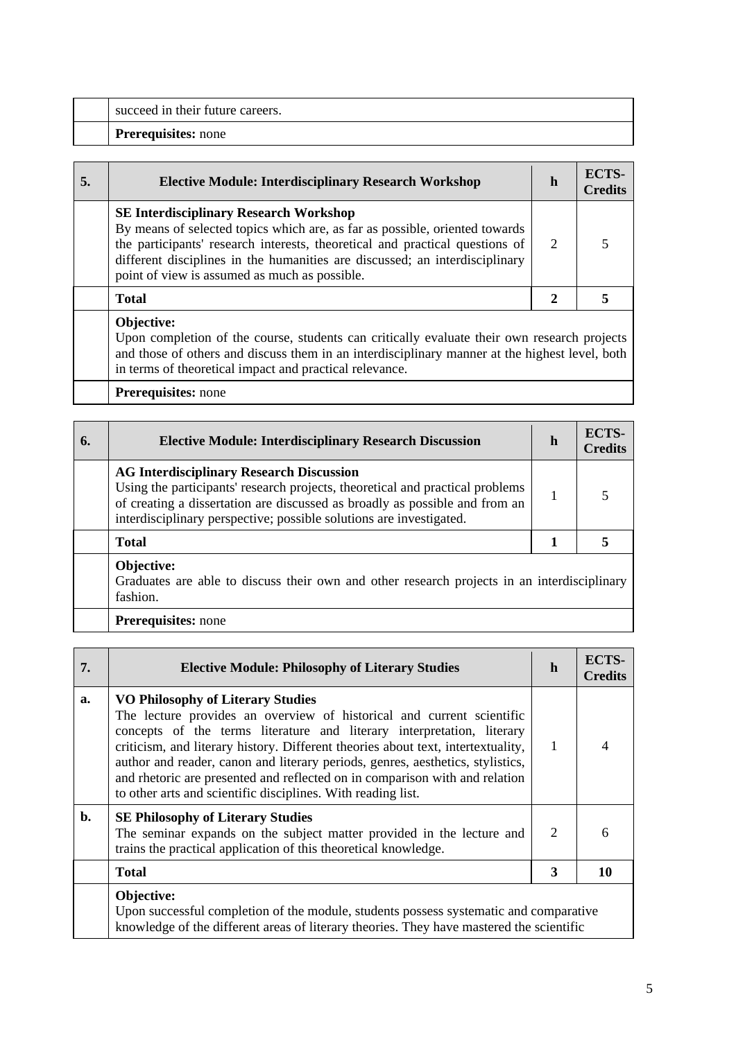| succeed in their future careers. | <b>Prerequisites:</b> none |
|----------------------------------|----------------------------|
|                                  |                            |

| <b>Elective Module: Interdisciplinary Research Workshop</b>                                                                                                                                                                                                                                                                                  | h                     | ECTS-<br><b>Credits</b> |
|----------------------------------------------------------------------------------------------------------------------------------------------------------------------------------------------------------------------------------------------------------------------------------------------------------------------------------------------|-----------------------|-------------------------|
| <b>SE Interdisciplinary Research Workshop</b><br>By means of selected topics which are, as far as possible, oriented towards<br>the participants' research interests, theoretical and practical questions of<br>different disciplines in the humanities are discussed; an interdisciplinary<br>point of view is assumed as much as possible. | $\mathcal{D}_{\cdot}$ |                         |
| <b>Total</b>                                                                                                                                                                                                                                                                                                                                 |                       |                         |
| Objective:                                                                                                                                                                                                                                                                                                                                   |                       |                         |

Upon completion of the course, students can critically evaluate their own research projects and those of others and discuss them in an interdisciplinary manner at the highest level, both in terms of theoretical impact and practical relevance.

**Prerequisites:** none

| 6. | <b>Elective Module: Interdisciplinary Research Discussion</b>                                                                                                                                                                                                                          | h | ECTS-<br><b>Credits</b> |
|----|----------------------------------------------------------------------------------------------------------------------------------------------------------------------------------------------------------------------------------------------------------------------------------------|---|-------------------------|
|    | <b>AG Interdisciplinary Research Discussion</b><br>Using the participants' research projects, theoretical and practical problems<br>of creating a dissertation are discussed as broadly as possible and from an<br>interdisciplinary perspective; possible solutions are investigated. |   |                         |
|    | <b>Total</b>                                                                                                                                                                                                                                                                           |   |                         |
|    | Objective:<br>Graduates are able to discuss their own and other research projects in an interdisciplinary<br>fashion.                                                                                                                                                                  |   |                         |

# **Prerequisites:** none

| 7. | <b>Elective Module: Philosophy of Literary Studies</b>                                                                                                                                                                                                                                                                                                                                                                                                                                                           | h | ECTS-<br><b>Credits</b> |
|----|------------------------------------------------------------------------------------------------------------------------------------------------------------------------------------------------------------------------------------------------------------------------------------------------------------------------------------------------------------------------------------------------------------------------------------------------------------------------------------------------------------------|---|-------------------------|
| a. | <b>VO Philosophy of Literary Studies</b><br>The lecture provides an overview of historical and current scientific<br>concepts of the terms literature and literary interpretation, literary<br>criticism, and literary history. Different theories about text, intertextuality,<br>author and reader, canon and literary periods, genres, aesthetics, stylistics,<br>and rhetoric are presented and reflected on in comparison with and relation<br>to other arts and scientific disciplines. With reading list. | 1 |                         |
| b. | <b>SE Philosophy of Literary Studies</b><br>The seminar expands on the subject matter provided in the lecture and<br>trains the practical application of this theoretical knowledge.                                                                                                                                                                                                                                                                                                                             | 2 | 6                       |
|    | <b>Total</b>                                                                                                                                                                                                                                                                                                                                                                                                                                                                                                     | 3 | 10                      |
|    | Objective:<br>Upon successful completion of the module, students possess systematic and comparative<br>knowledge of the different areas of literary theories. They have mastered the scientific                                                                                                                                                                                                                                                                                                                  |   |                         |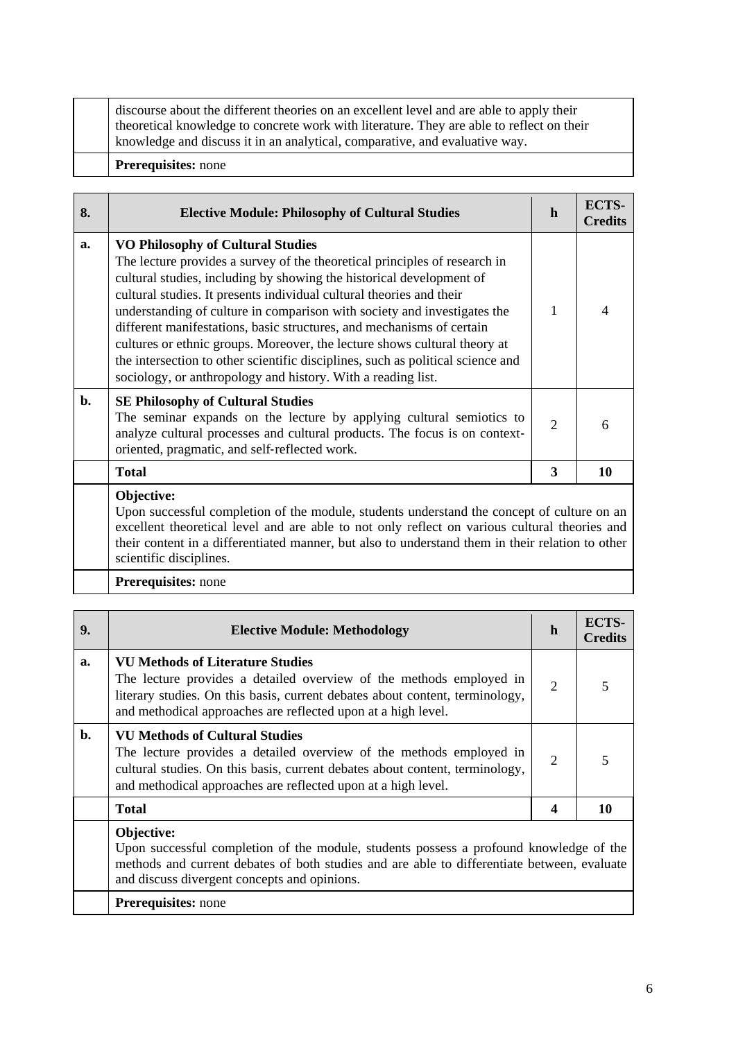discourse about the different theories on an excellent level and are able to apply their theoretical knowledge to concrete work with literature. They are able to reflect on their knowledge and discuss it in an analytical, comparative, and evaluative way.

#### **Prerequisites:** none

| 8. | <b>Elective Module: Philosophy of Cultural Studies</b>                                                                                                                                                                                                                                                                                                                                                                                                                                                                                                                                                                                                      |   | ECTS-<br><b>Credits</b> |
|----|-------------------------------------------------------------------------------------------------------------------------------------------------------------------------------------------------------------------------------------------------------------------------------------------------------------------------------------------------------------------------------------------------------------------------------------------------------------------------------------------------------------------------------------------------------------------------------------------------------------------------------------------------------------|---|-------------------------|
| a. | <b>VO Philosophy of Cultural Studies</b><br>The lecture provides a survey of the theoretical principles of research in<br>cultural studies, including by showing the historical development of<br>cultural studies. It presents individual cultural theories and their<br>understanding of culture in comparison with society and investigates the<br>different manifestations, basic structures, and mechanisms of certain<br>cultures or ethnic groups. Moreover, the lecture shows cultural theory at<br>the intersection to other scientific disciplines, such as political science and<br>sociology, or anthropology and history. With a reading list. | 1 |                         |
| b. | <b>SE Philosophy of Cultural Studies</b><br>The seminar expands on the lecture by applying cultural semiotics to<br>analyze cultural processes and cultural products. The focus is on context-<br>oriented, pragmatic, and self-reflected work.                                                                                                                                                                                                                                                                                                                                                                                                             |   | 6                       |
|    | <b>Total</b>                                                                                                                                                                                                                                                                                                                                                                                                                                                                                                                                                                                                                                                | 3 | 10                      |
|    | Objective:<br>Upon successful completion of the module, students understand the concept of culture on an<br>excellent theoretical level and are able to not only reflect on various cultural theories and<br>their content in a differentiated manner, but also to understand them in their relation to other                                                                                                                                                                                                                                                                                                                                               |   |                         |

their content in a differentiated manner, but also to understand them in their relation to other scientific disciplines.

## **Prerequisites:** none

| 9. | <b>Elective Module: Methodology</b>                                                                                                                                                                                                                             |                | ECTS-<br><b>Credits</b> |
|----|-----------------------------------------------------------------------------------------------------------------------------------------------------------------------------------------------------------------------------------------------------------------|----------------|-------------------------|
| a. | <b>VU Methods of Literature Studies</b><br>The lecture provides a detailed overview of the methods employed in<br>literary studies. On this basis, current debates about content, terminology,<br>and methodical approaches are reflected upon at a high level. | $\overline{2}$ |                         |
| b. | <b>VU Methods of Cultural Studies</b><br>The lecture provides a detailed overview of the methods employed in<br>cultural studies. On this basis, current debates about content, terminology,<br>and methodical approaches are reflected upon at a high level.   |                |                         |
|    | <b>Total</b>                                                                                                                                                                                                                                                    | 4              | 10                      |
|    | Objective:<br>Upon successful completion of the module, students possess a profound knowledge of the<br>methods and current debates of both studies and are able to differentiate between, evaluate<br>and discussed warehout concenter and oninions            |                |                         |

and discuss divergent concepts and opinions.

**Prerequisites:** none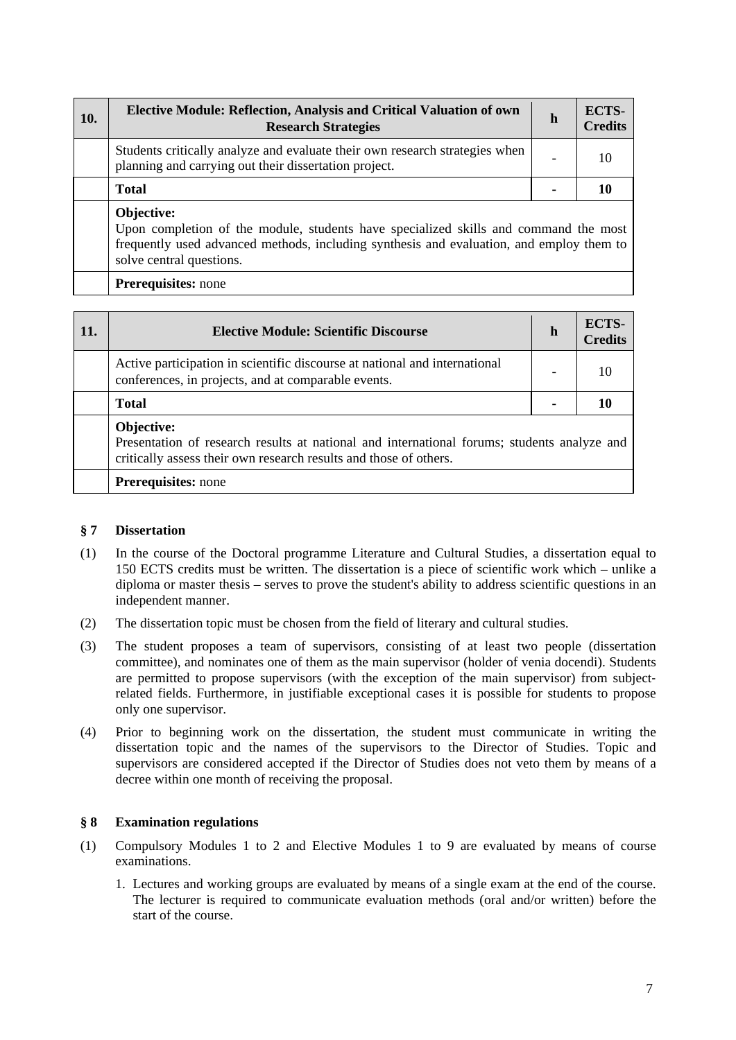| 10. | <b>Elective Module: Reflection, Analysis and Critical Valuation of own</b><br><b>Research Strategies</b>                             | h | ECTS-<br><b>Credits</b> |
|-----|--------------------------------------------------------------------------------------------------------------------------------------|---|-------------------------|
|     | Students critically analyze and evaluate their own research strategies when<br>planning and carrying out their dissertation project. |   | 10                      |
|     | <b>Total</b>                                                                                                                         |   |                         |
|     | Objective:<br>Upon completion of the module students have specialized skills and command the most                                    |   |                         |

Upon completion of the module, students have specialized skills and command the most frequently used advanced methods, including synthesis and evaluation, and employ them to solve central questions.

## **Prerequisites:** none

| <b>11.</b> | <b>Elective Module: Scientific Discourse</b>                                                                                                                                   |  | ECTS-<br><b>Credits</b> |
|------------|--------------------------------------------------------------------------------------------------------------------------------------------------------------------------------|--|-------------------------|
|            | Active participation in scientific discourse at national and international<br>conferences, in projects, and at comparable events.                                              |  |                         |
|            | <b>Total</b>                                                                                                                                                                   |  |                         |
|            | Objective:<br>Presentation of research results at national and international forums; students analyze and<br>critically assess their own research results and those of others. |  |                         |
|            | <b>Prerequisites:</b> none                                                                                                                                                     |  |                         |

#### **§ 7 Dissertation**

- (1) In the course of the Doctoral programme Literature and Cultural Studies, a dissertation equal to 150 ECTS credits must be written. The dissertation is a piece of scientific work which – unlike a diploma or master thesis – serves to prove the student's ability to address scientific questions in an independent manner.
- (2) The dissertation topic must be chosen from the field of literary and cultural studies.
- (3) The student proposes a team of supervisors, consisting of at least two people (dissertation committee), and nominates one of them as the main supervisor (holder of venia docendi). Students are permitted to propose supervisors (with the exception of the main supervisor) from subjectrelated fields. Furthermore, in justifiable exceptional cases it is possible for students to propose only one supervisor.
- (4) Prior to beginning work on the dissertation, the student must communicate in writing the dissertation topic and the names of the supervisors to the Director of Studies. Topic and supervisors are considered accepted if the Director of Studies does not veto them by means of a decree within one month of receiving the proposal.

# **§ 8 Examination regulations**

- (1) Compulsory Modules 1 to 2 and Elective Modules 1 to 9 are evaluated by means of course examinations.
	- 1. Lectures and working groups are evaluated by means of a single exam at the end of the course. The lecturer is required to communicate evaluation methods (oral and/or written) before the start of the course.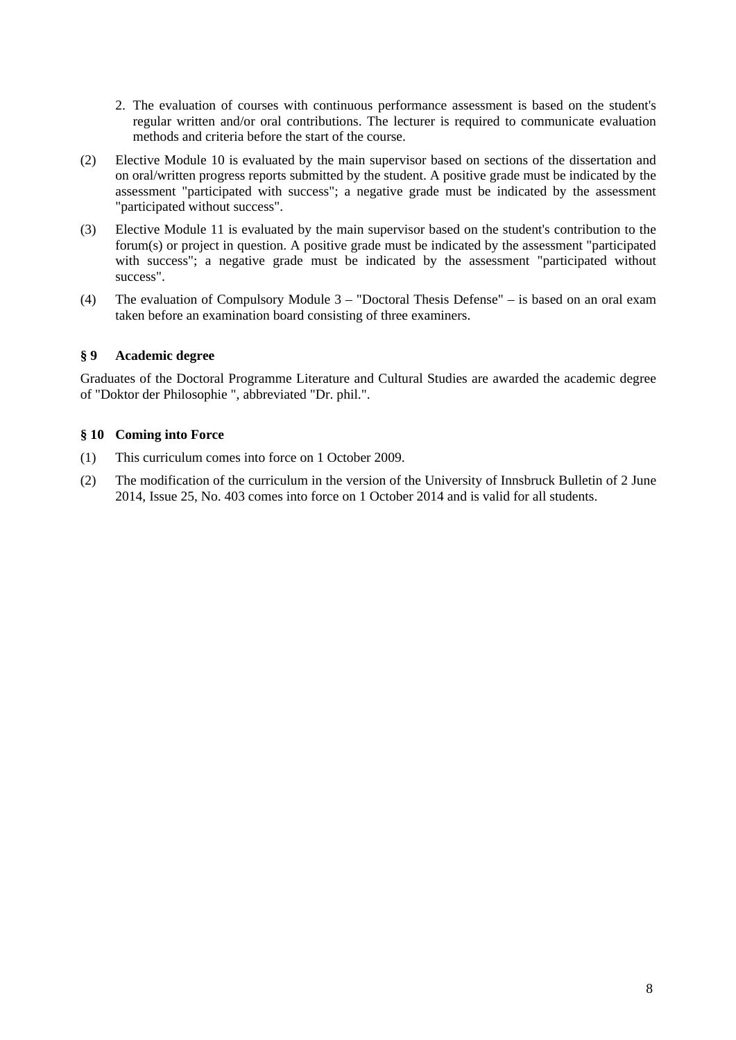- 2. The evaluation of courses with continuous performance assessment is based on the student's regular written and/or oral contributions. The lecturer is required to communicate evaluation methods and criteria before the start of the course.
- (2) Elective Module 10 is evaluated by the main supervisor based on sections of the dissertation and on oral/written progress reports submitted by the student. A positive grade must be indicated by the assessment "participated with success"; a negative grade must be indicated by the assessment "participated without success".
- (3) Elective Module 11 is evaluated by the main supervisor based on the student's contribution to the forum(s) or project in question. A positive grade must be indicated by the assessment "participated with success"; a negative grade must be indicated by the assessment "participated without success".
- (4) The evaluation of Compulsory Module 3 "Doctoral Thesis Defense" is based on an oral exam taken before an examination board consisting of three examiners.

#### **§ 9 Academic degree**

Graduates of the Doctoral Programme Literature and Cultural Studies are awarded the academic degree of "Doktor der Philosophie ", abbreviated "Dr. phil.".

## **§ 10 Coming into Force**

- (1) This curriculum comes into force on 1 October 2009.
- (2) The modification of the curriculum in the version of the University of Innsbruck Bulletin of 2 June 2014, Issue 25, No. 403 comes into force on 1 October 2014 and is valid for all students.